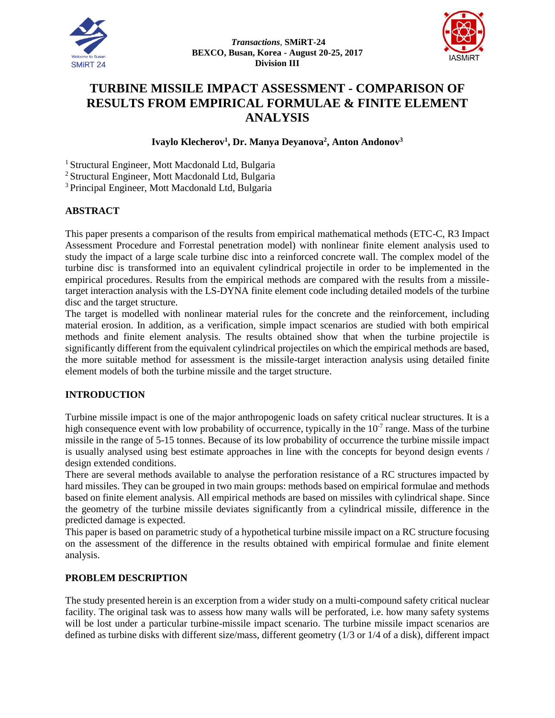



# **TURBINE MISSILE IMPACT ASSESSMENT - COMPARISON OF RESULTS FROM EMPIRICAL FORMULAE & FINITE ELEMENT ANALYSIS**

# **Ivaylo Klecherov<sup>1</sup> , Dr. Manya Deyanova<sup>2</sup> , Anton Andonov<sup>3</sup>**

<sup>1</sup> Structural Engineer, Mott Macdonald Ltd, Bulgaria

<sup>2</sup> Structural Engineer, Mott Macdonald Ltd, Bulgaria

<sup>3</sup> Principal Engineer, Mott Macdonald Ltd, Bulgaria

### **ABSTRACT**

This paper presents a comparison of the results from empirical mathematical methods (ETC-C, R3 Impact Assessment Procedure and Forrestal penetration model) with nonlinear finite element analysis used to study the impact of a large scale turbine disc into a reinforced concrete wall. The complex model of the turbine disc is transformed into an equivalent cylindrical projectile in order to be implemented in the empirical procedures. Results from the empirical methods are compared with the results from a missiletarget interaction analysis with the LS-DYNA finite element code including detailed models of the turbine disc and the target structure.

The target is modelled with nonlinear material rules for the concrete and the reinforcement, including material erosion. In addition, as a verification, simple impact scenarios are studied with both empirical methods and finite element analysis. The results obtained show that when the turbine projectile is significantly different from the equivalent cylindrical projectiles on which the empirical methods are based, the more suitable method for assessment is the missile-target interaction analysis using detailed finite element models of both the turbine missile and the target structure.

# **INTRODUCTION**

Turbine missile impact is one of the major anthropogenic loads on safety critical nuclear structures. It is a high consequence event with low probability of occurrence, typically in the  $10<sup>-7</sup>$  range. Mass of the turbine missile in the range of 5-15 tonnes. Because of its low probability of occurrence the turbine missile impact is usually analysed using best estimate approaches in line with the concepts for beyond design events / design extended conditions.

There are several methods available to analyse the perforation resistance of a RC structures impacted by hard missiles. They can be grouped in two main groups: methods based on empirical formulae and methods based on finite element analysis. All empirical methods are based on missiles with cylindrical shape. Since the geometry of the turbine missile deviates significantly from a cylindrical missile, difference in the predicted damage is expected.

This paper is based on parametric study of a hypothetical turbine missile impact on a RC structure focusing on the assessment of the difference in the results obtained with empirical formulae and finite element analysis.

### **PROBLEM DESCRIPTION**

The study presented herein is an excerption from a wider study on a multi-compound safety critical nuclear facility. The original task was to assess how many walls will be perforated, i.e. how many safety systems will be lost under a particular turbine-missile impact scenario. The turbine missile impact scenarios are defined as turbine disks with different size/mass, different geometry (1/3 or 1/4 of a disk), different impact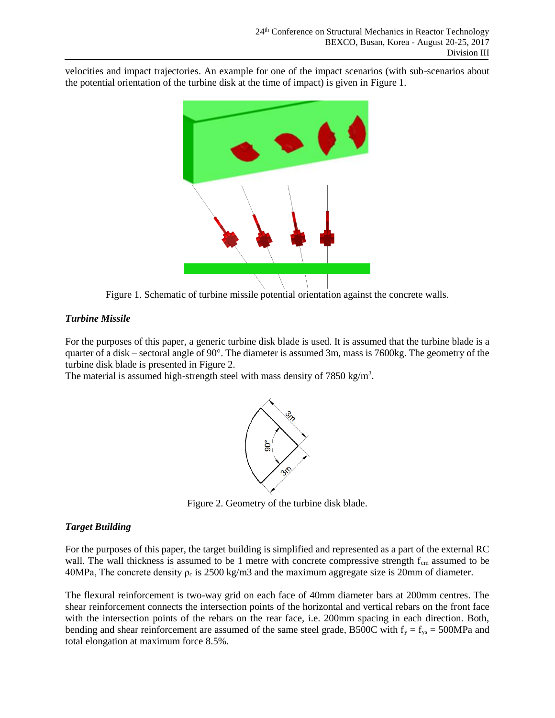velocities and impact trajectories. An example for one of the impact scenarios (with sub-scenarios about the potential orientation of the turbine disk at the time of impact) is given in Figure 1.



Figure 1. Schematic of turbine missile potential orientation against the concrete walls.

# *Turbine Missile*

For the purposes of this paper, a generic turbine disk blade is used. It is assumed that the turbine blade is a quarter of a disk – sectoral angle of 90°. The diameter is assumed 3m, mass is 7600kg. The geometry of the turbine disk blade is presented in Figure 2.

The material is assumed high-strength steel with mass density of  $7850 \text{ kg/m}^3$ .



Figure 2. Geometry of the turbine disk blade.

# *Target Building*

For the purposes of this paper, the target building is simplified and represented as a part of the external RC wall. The wall thickness is assumed to be 1 metre with concrete compressive strength  $f_{cm}$  assumed to be 40MPa, The concrete density  $\rho_c$  is 2500 kg/m3 and the maximum aggregate size is 20mm of diameter.

The flexural reinforcement is two-way grid on each face of 40mm diameter bars at 200mm centres. The shear reinforcement connects the intersection points of the horizontal and vertical rebars on the front face with the intersection points of the rebars on the rear face, i.e. 200mm spacing in each direction. Both, bending and shear reinforcement are assumed of the same steel grade, B500C with  $f_y = f_{ys} = 500MPa$  and total elongation at maximum force 8.5%.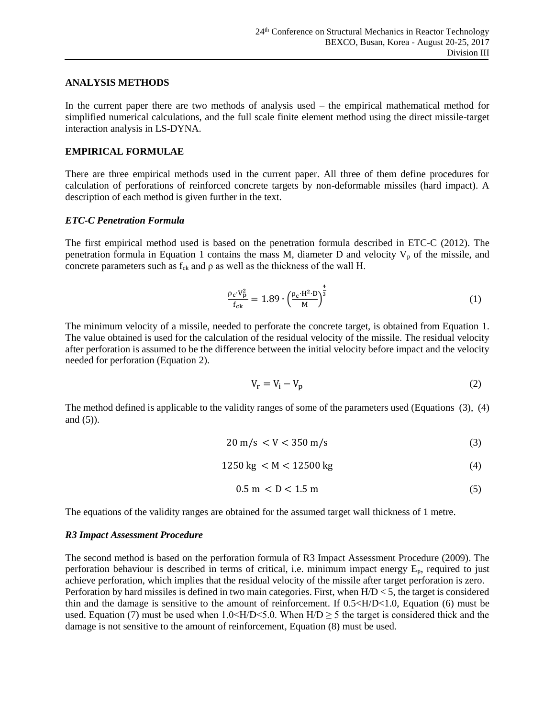#### **ANALYSIS METHODS**

In the current paper there are two methods of analysis used – the empirical mathematical method for simplified numerical calculations, and the full scale finite element method using the direct missile-target interaction analysis in LS-DYNA.

### **EMPIRICAL FORMULAE**

There are three empirical methods used in the current paper. All three of them define procedures for calculation of perforations of reinforced concrete targets by non-deformable missiles (hard impact). A description of each method is given further in the text.

### *ETC-C Penetration Formula*

The first empirical method used is based on the penetration formula described in ETC-C (2012). The penetration formula in Equation 1 contains the mass M, diameter D and velocity  $V_p$  of the missile, and concrete parameters such as  $f_{ck}$  and  $\rho$  as well as the thickness of the wall H.

$$
\frac{\rho_c \cdot V_p^2}{f_{ck}} = 1.89 \cdot \left(\frac{\rho_c \cdot H^2 \cdot D}{M}\right)^{\frac{4}{3}}
$$
(1)

The minimum velocity of a missile, needed to perforate the concrete target, is obtained from Equation 1. The value obtained is used for the calculation of the residual velocity of the missile. The residual velocity after perforation is assumed to be the difference between the initial velocity before impact and the velocity needed for perforation (Equation 2).

$$
V_r = V_i - V_p \tag{2}
$$

The method defined is applicable to the validity ranges of some of the parameters used (Equations (3), (4) and  $(5)$ ).

$$
20 \text{ m/s} < V < 350 \text{ m/s} \tag{3}
$$

$$
1250 \text{ kg} < M < 12500 \text{ kg} \tag{4}
$$

$$
0.5 \text{ m} < D < 1.5 \text{ m} \tag{5}
$$

The equations of the validity ranges are obtained for the assumed target wall thickness of 1 metre.

### *R3 Impact Assessment Procedure*

The second method is based on the perforation formula of R3 Impact Assessment Procedure (2009). The perforation behaviour is described in terms of critical, i.e. minimum impact energy  $E_p$ , required to just achieve perforation, which implies that the residual velocity of the missile after target perforation is zero. Perforation by hard missiles is defined in two main categories. First, when H/D < 5, the target is considered thin and the damage is sensitive to the amount of reinforcement. If  $0.5 \times H/D \lt 1.0$ , Equation (6) must be used. Equation (7) must be used when  $1.0 \leq H/D \leq 5.0$ . When  $H/D \geq 5$  the target is considered thick and the damage is not sensitive to the amount of reinforcement, Equation (8) must be used.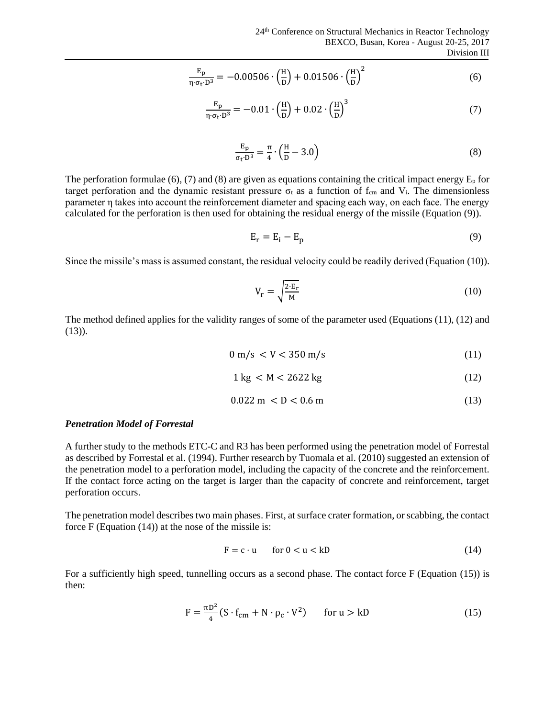$$
\frac{E_p}{\eta \cdot \sigma_t \cdot D^3} = -0.00506 \cdot \left(\frac{H}{D}\right) + 0.01506 \cdot \left(\frac{H}{D}\right)^2 \tag{6}
$$

$$
\frac{E_p}{\eta \cdot \sigma_t \cdot D^3} = -0.01 \cdot \left(\frac{H}{D}\right) + 0.02 \cdot \left(\frac{H}{D}\right)^3 \tag{7}
$$

$$
\frac{E_p}{\sigma_t \cdot D^3} = \frac{\pi}{4} \cdot \left(\frac{H}{D} - 3.0\right)
$$
 (8)

The perforation formulae (6), (7) and (8) are given as equations containing the critical impact energy  $E_p$  for target perforation and the dynamic resistant pressure  $\sigma_t$  as a function of  $f_{cm}$  and  $V_i$ . The dimensionless parameter η takes into account the reinforcement diameter and spacing each way, on each face. The energy calculated for the perforation is then used for obtaining the residual energy of the missile (Equation (9)).

$$
E_r = E_i - E_p \tag{9}
$$

Since the missile's mass is assumed constant, the residual velocity could be readily derived (Equation (10)).

$$
V_r = \sqrt{\frac{2 \cdot E_r}{M}}
$$
 (10)

The method defined applies for the validity ranges of some of the parameter used (Equations (11), (12) and  $(13)$ ).

$$
0 \text{ m/s} < V < 350 \text{ m/s} \tag{11}
$$

$$
1\,\mathrm{kg} < M < 2622\,\mathrm{kg} \tag{12}
$$

$$
0.022 \, \text{m} < D < 0.6 \, \text{m} \tag{13}
$$

#### *Penetration Model of Forrestal*

A further study to the methods ETC-C and R3 has been performed using the penetration model of Forrestal as described by Forrestal et al. (1994). Further research by Tuomala et al. (2010) suggested an extension of the penetration model to a perforation model, including the capacity of the concrete and the reinforcement. If the contact force acting on the target is larger than the capacity of concrete and reinforcement, target perforation occurs.

The penetration model describes two main phases. First, at surface crater formation, or scabbing, the contact force F (Equation (14)) at the nose of the missile is:

$$
F = c \cdot u \qquad \text{for } 0 < u < kD \tag{14}
$$

For a sufficiently high speed, tunnelling occurs as a second phase. The contact force F (Equation (15)) is then:

$$
F = \frac{\pi D^2}{4} (S \cdot f_{cm} + N \cdot \rho_c \cdot V^2) \qquad \text{for } u > kD \tag{15}
$$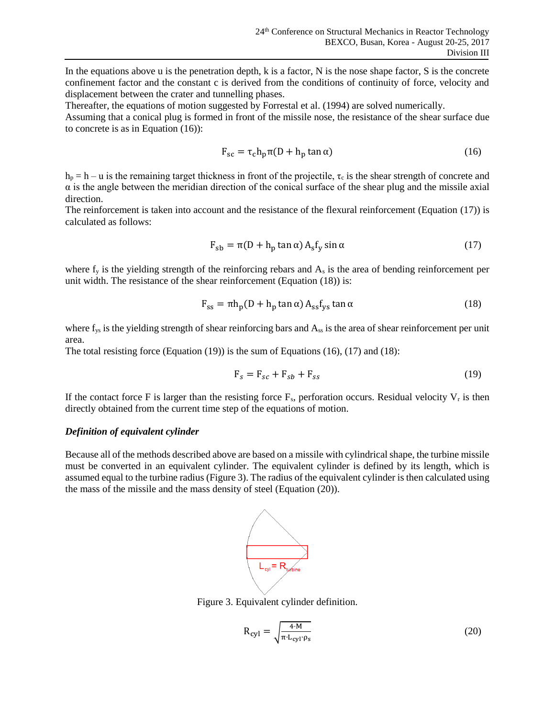In the equations above u is the penetration depth, k is a factor, N is the nose shape factor, S is the concrete confinement factor and the constant c is derived from the conditions of continuity of force, velocity and displacement between the crater and tunnelling phases.

Thereafter, the equations of motion suggested by Forrestal et al. (1994) are solved numerically.

Assuming that a conical plug is formed in front of the missile nose, the resistance of the shear surface due to concrete is as in Equation (16)):

$$
F_{sc} = \tau_c h_p \pi (D + h_p \tan \alpha)
$$
 (16)

 $h_p = h - u$  is the remaining target thickness in front of the projectile,  $\tau_c$  is the shear strength of concrete and  $\alpha$  is the angle between the meridian direction of the conical surface of the shear plug and the missile axial direction.

The reinforcement is taken into account and the resistance of the flexural reinforcement (Equation (17)) is calculated as follows:

$$
F_{sb} = \pi (D + h_p \tan \alpha) A_s f_y \sin \alpha \tag{17}
$$

where  $f_y$  is the yielding strength of the reinforcing rebars and  $A_s$  is the area of bending reinforcement per unit width. The resistance of the shear reinforcement (Equation (18)) is:

$$
F_{ss} = \pi h_p (D + h_p \tan \alpha) A_{ss} f_{ys} \tan \alpha \tag{18}
$$

where f<sub>ys</sub> is the yielding strength of shear reinforcing bars and A<sub>ss</sub> is the area of shear reinforcement per unit area.

The total resisting force (Equation (19)) is the sum of Equations (16), (17) and (18):

$$
\mathbf{F}_s = \mathbf{F}_{sc} + \mathbf{F}_{sb} + \mathbf{F}_{ss} \tag{19}
$$

If the contact force F is larger than the resisting force  $F_s$ , perforation occurs. Residual velocity  $V_r$  is then directly obtained from the current time step of the equations of motion.

#### *Definition of equivalent cylinder*

Because all of the methods described above are based on a missile with cylindrical shape, the turbine missile must be converted in an equivalent cylinder. The equivalent cylinder is defined by its length, which is assumed equal to the turbine radius (Figure 3). The radius of the equivalent cylinder is then calculated using the mass of the missile and the mass density of steel (Equation (20)).



Figure 3. Equivalent cylinder definition.

$$
R_{cyl} = \sqrt{\frac{4 \cdot M}{\pi \cdot L_{cyl} \cdot \rho_s}}
$$
 (20)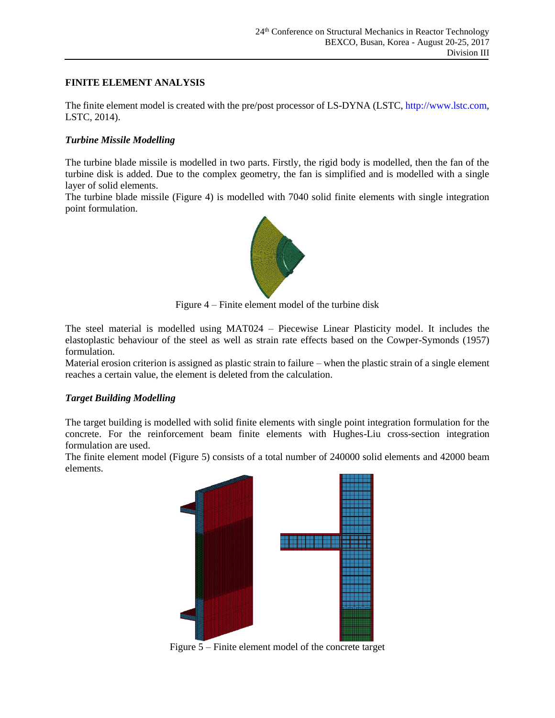# **FINITE ELEMENT ANALYSIS**

The finite element model is created with the pre/post processor of LS-DYNA (LSTC, http://www.lstc.com, LSTC, 2014).

## *Turbine Missile Modelling*

The turbine blade missile is modelled in two parts. Firstly, the rigid body is modelled, then the fan of the turbine disk is added. Due to the complex geometry, the fan is simplified and is modelled with a single layer of solid elements.

The turbine blade missile (Figure 4) is modelled with 7040 solid finite elements with single integration point formulation.



Figure 4 – Finite element model of the turbine disk

The steel material is modelled using MAT024 – Piecewise Linear Plasticity model. It includes the elastoplastic behaviour of the steel as well as strain rate effects based on the Cowper-Symonds (1957) formulation.

Material erosion criterion is assigned as plastic strain to failure – when the plastic strain of a single element reaches a certain value, the element is deleted from the calculation.

### *Target Building Modelling*

The target building is modelled with solid finite elements with single point integration formulation for the concrete. For the reinforcement beam finite elements with Hughes-Liu cross-section integration formulation are used.

The finite element model (Figure 5) consists of a total number of 240000 solid elements and 42000 beam elements.



Figure 5 – Finite element model of the concrete target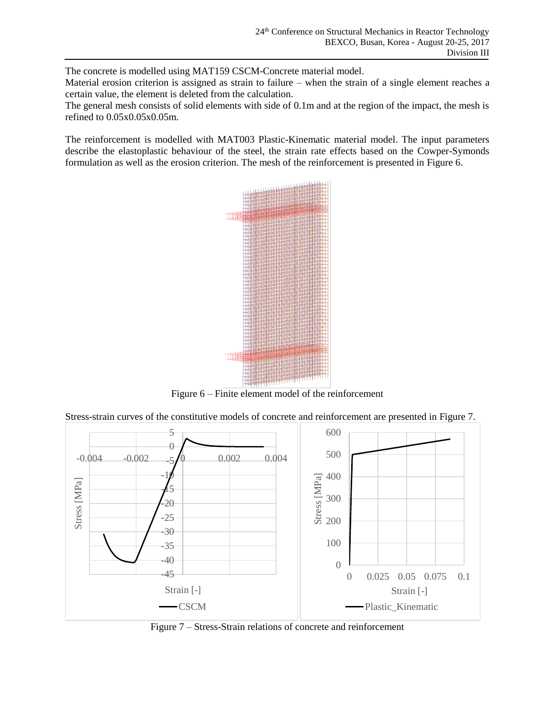The concrete is modelled using MAT159 CSCM-Concrete material model.

Material erosion criterion is assigned as strain to failure – when the strain of a single element reaches a certain value, the element is deleted from the calculation.

The general mesh consists of solid elements with side of 0.1m and at the region of the impact, the mesh is refined to 0.05x0.05x0.05m.

The reinforcement is modelled with MAT003 Plastic-Kinematic material model. The input parameters describe the elastoplastic behaviour of the steel, the strain rate effects based on the Cowper-Symonds formulation as well as the erosion criterion. The mesh of the reinforcement is presented in Figure 6.



Figure 6 – Finite element model of the reinforcement

Stress-strain curves of the constitutive models of concrete and reinforcement are presented in Figure 7.



Figure 7 – Stress-Strain relations of concrete and reinforcement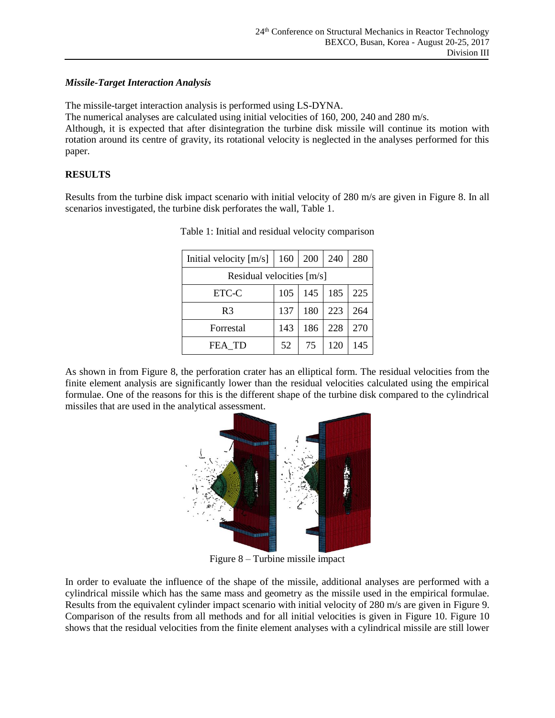## *Missile-Target Interaction Analysis*

The missile-target interaction analysis is performed using LS-DYNA.

The numerical analyses are calculated using initial velocities of 160, 200, 240 and 280 m/s.

Although, it is expected that after disintegration the turbine disk missile will continue its motion with rotation around its centre of gravity, its rotational velocity is neglected in the analyses performed for this paper.

# **RESULTS**

<span id="page-7-0"></span>Results from the turbine disk impact scenario with initial velocity of 280 m/s are given in Figure 8. In all scenarios investigated, the turbine disk perforates the wall, [Table 1.](#page-7-0)

| Initial velocity $[m/s]$  | 160 | 200 | 240 | 280 |
|---------------------------|-----|-----|-----|-----|
| Residual velocities [m/s] |     |     |     |     |
| ETC-C                     | 105 | 145 | 185 | 225 |
| R <sub>3</sub>            | 137 | 180 | 223 | 264 |
| Forrestal                 | 143 | 186 | 228 | 270 |
| FEA TD                    | 52  | 75  | 120 | 145 |

Table 1: Initial and residual velocity comparison

As shown in from Figure 8, the perforation crater has an elliptical form. The residual velocities from the finite element analysis are significantly lower than the residual velocities calculated using the empirical formulae. One of the reasons for this is the different shape of the turbine disk compared to the cylindrical missiles that are used in the analytical assessment.



Figure 8 – Turbine missile impact

In order to evaluate the influence of the shape of the missile, additional analyses are performed with a cylindrical missile which has the same mass and geometry as the missile used in the empirical formulae. Results from the equivalent cylinder impact scenario with initial velocity of 280 m/s are given in [Figure 9](#page-8-0). Comparison of the results from all methods and for all initial velocities is given in [Figure 1](#page-8-1)0. [Figure 1](#page-8-1)0 shows that the residual velocities from the finite element analyses with a cylindrical missile are still lower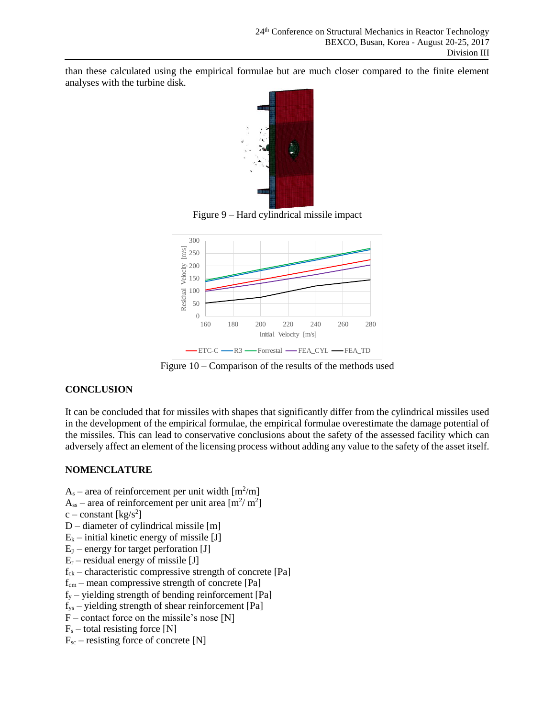than these calculated using the empirical formulae but are much closer compared to the finite element analyses with the turbine disk.



Figure 9 – Hard cylindrical missile impact

<span id="page-8-0"></span>

Figure 10 – Comparison of the results of the methods used

# <span id="page-8-1"></span>**CONCLUSION**

It can be concluded that for missiles with shapes that significantly differ from the cylindrical missiles used in the development of the empirical formulae, the empirical formulae overestimate the damage potential of the missiles. This can lead to conservative conclusions about the safety of the assessed facility which can adversely affect an element of the licensing process without adding any value to the safety of the asset itself.

### **NOMENCLATURE**

- $A_s$  area of reinforcement per unit width  $[m^2/m]$
- $A_{ss}$  area of reinforcement per unit area  $[m^2/m^2]$
- $c$  constant [kg/s<sup>2</sup>]
- D diameter of cylindrical missile [m]
- $E_k$  initial kinetic energy of missile [J]
- $E_p$  energy for target perforation [J]
- $E_r$  residual energy of missile [J]
- $f_{ck}$  characteristic compressive strength of concrete [Pa]
- $f_{cm}$  mean compressive strength of concrete [Pa]
- $f_y$  yielding strength of bending reinforcement [Pa]
- $f_{ys}$  yielding strength of shear reinforcement [Pa]
- $F$  contact force on the missile's nose [N]
- $F_s$  total resisting force [N]
- $F_{\text{sc}}$  resisting force of concrete [N]